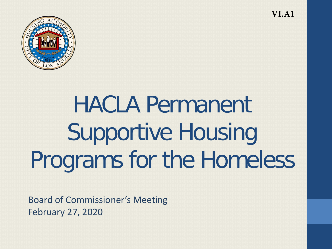

# HACLA Permanent Supportive Housing Programs for the Homeless

Board of Commissioner's Meeting February 27, 2020

**VI.A1**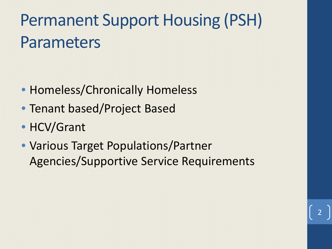## Permanent Support Housing (PSH) Parameters

- Homeless/Chronically Homeless
- Tenant based/Project Based
- HCV/Grant
- Various Target Populations/Partner Agencies/Supportive Service Requirements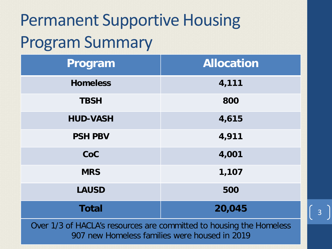## Permanent Supportive Housing Program Summary

| Program         | <b>Allocation</b>                                                                                               |
|-----------------|-----------------------------------------------------------------------------------------------------------------|
| <b>Homeless</b> | 4,111                                                                                                           |
| <b>TBSH</b>     | 800                                                                                                             |
| <b>HUD-VASH</b> | 4,615                                                                                                           |
| <b>PSH PBV</b>  | 4,911                                                                                                           |
| CoC             | 4,001                                                                                                           |
| <b>MRS</b>      | 1,107                                                                                                           |
| <b>LAUSD</b>    | 500                                                                                                             |
| <b>Total</b>    | 20,045                                                                                                          |
|                 | the contract of the contract of the contract of the contract of the contract of the contract of the contract of |

Over 1/3 of HACLA's resources are committed to housing the Homeless 907 new Homeless families were housed in 2019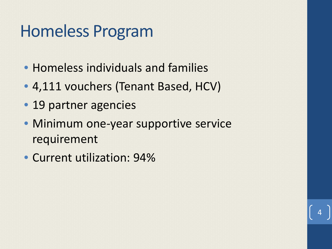#### Homeless Program

- Homeless individuals and families
- 4,111 vouchers (Tenant Based, HCV)
- 19 partner agencies
- Minimum one-year supportive service requirement

4

• Current utilization: 94%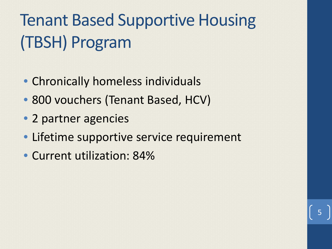# Tenant Based Supportive Housing (TBSH) Program

- Chronically homeless individuals
- 800 vouchers (Tenant Based, HCV)
- 2 partner agencies
- Lifetime supportive service requirement

5

• Current utilization: 84%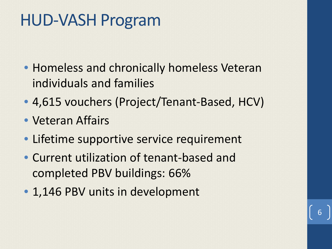#### HUD-VASH Program

- Homeless and chronically homeless Veteran individuals and families
- 4,615 vouchers (Project/Tenant-Based, HCV)

- Veteran Affairs
- Lifetime supportive service requirement
- Current utilization of tenant-based and completed PBV buildings: 66%
- 1,146 PBV units in development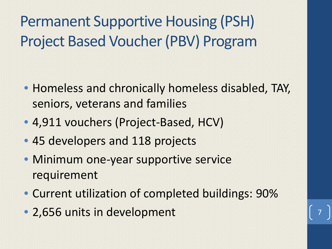Permanent Supportive Housing (PSH) Project Based Voucher (PBV) Program

- Homeless and chronically homeless disabled, TAY, seniors, veterans and families
- 4,911 vouchers (Project-Based, HCV)
- 45 developers and 118 projects
- Minimum one-year supportive service requirement
- Current utilization of completed buildings: 90%
- 2,656 units in development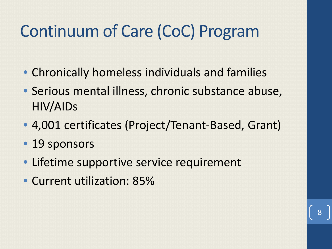### Continuum of Care (CoC) Program

- Chronically homeless individuals and families
- Serious mental illness, chronic substance abuse, HIV/AIDs
- 4,001 certificates (Project/Tenant-Based, Grant)

- 19 sponsors
- Lifetime supportive service requirement
- Current utilization: 85%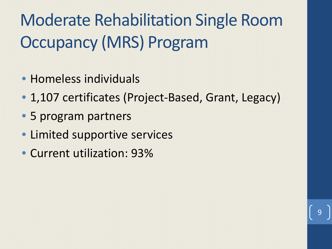Moderate Rehabilitation Single Room Occupancy (MRS) Program

- Homeless individuals
- 1,107 certificates (Project-Based, Grant, Legacy)

- 5 program partners
- Limited supportive services
- Current utilization: 93%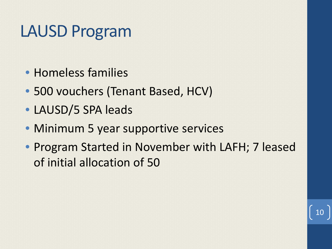#### LAUSD Program

- Homeless families
- 500 vouchers (Tenant Based, HCV)
- LAUSD/5 SPA leads
- Minimum 5 year supportive services
- Program Started in November with LAFH; 7 leased of initial allocation of 50